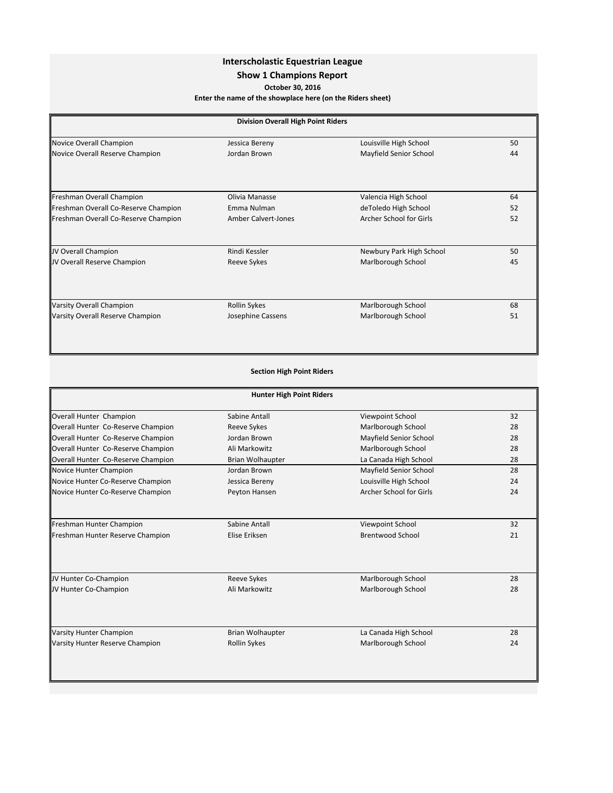## **Interscholastic Equestrian League**

## **Show 1 Champions Report**

**October 30, 2016**

Enter the name of the showplace here (on the Riders sheet)

| <b>Division Overall High Point Riders</b> |                            |                          |    |
|-------------------------------------------|----------------------------|--------------------------|----|
| Novice Overall Champion                   | Jessica Bereny             | Louisville High School   | 50 |
| Novice Overall Reserve Champion           | Jordan Brown               | Mayfield Senior School   | 44 |
|                                           |                            |                          |    |
| Freshman Overall Champion                 | Olivia Manasse             | Valencia High School     | 64 |
| Freshman Overall Co-Reserve Champion      | Emma Nulman                | deToledo High School     | 52 |
| Freshman Overall Co-Reserve Champion      | <b>Amber Calvert-Jones</b> | Archer School for Girls  | 52 |
| JV Overall Champion                       | Rindi Kessler              | Newbury Park High School | 50 |
| JV Overall Reserve Champion               | Reeve Sykes                | Marlborough School       | 45 |
|                                           |                            |                          |    |
| <b>Varsity Overall Champion</b>           | <b>Rollin Sykes</b>        | Marlborough School       | 68 |
| Varsity Overall Reserve Champion          | Josephine Cassens          | Marlborough School       | 51 |

## **Section High Point Riders**

| <b>Hunter High Point Riders</b>    |                         |                         |    |
|------------------------------------|-------------------------|-------------------------|----|
| Overall Hunter Champion            | Sabine Antall           | Viewpoint School        | 32 |
| Overall Hunter Co-Reserve Champion | Reeve Sykes             | Marlborough School      | 28 |
| Overall Hunter Co-Reserve Champion | Jordan Brown            | Mayfield Senior School  | 28 |
| Overall Hunter Co-Reserve Champion | Ali Markowitz           | Marlborough School      | 28 |
| Overall Hunter Co-Reserve Champion | <b>Brian Wolhaupter</b> | La Canada High School   | 28 |
| Novice Hunter Champion             | Jordan Brown            | Mayfield Senior School  | 28 |
| Novice Hunter Co-Reserve Champion  | Jessica Bereny          | Louisville High School  | 24 |
| Novice Hunter Co-Reserve Champion  | Peyton Hansen           | Archer School for Girls | 24 |
|                                    |                         |                         |    |
| Freshman Hunter Champion           | Sabine Antall           | Viewpoint School        | 32 |
| Freshman Hunter Reserve Champion   | Elise Eriksen           | <b>Brentwood School</b> | 21 |
|                                    |                         |                         |    |
| JV Hunter Co-Champion              | Reeve Sykes             | Marlborough School      | 28 |
| JV Hunter Co-Champion              | Ali Markowitz           | Marlborough School      | 28 |
|                                    |                         |                         |    |
| <b>Varsity Hunter Champion</b>     | <b>Brian Wolhaupter</b> | La Canada High School   | 28 |
| Varsity Hunter Reserve Champion    | Rollin Sykes            | Marlborough School      | 24 |
|                                    |                         |                         |    |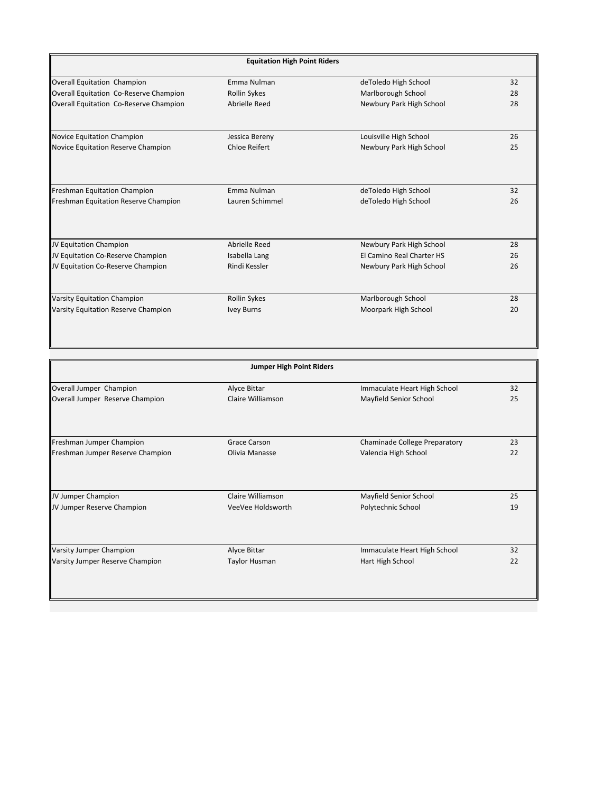| <b>Equitation High Point Riders</b>    |                      |                           |    |
|----------------------------------------|----------------------|---------------------------|----|
| Overall Equitation Champion            | Emma Nulman          | deToledo High School      | 32 |
| Overall Equitation Co-Reserve Champion | <b>Rollin Sykes</b>  | Marlborough School        | 28 |
| Overall Equitation Co-Reserve Champion | Abrielle Reed        | Newbury Park High School  | 28 |
| Novice Equitation Champion             | Jessica Bereny       | Louisville High School    | 26 |
| Novice Equitation Reserve Champion     | <b>Chloe Reifert</b> | Newbury Park High School  | 25 |
|                                        |                      |                           |    |
| Freshman Equitation Champion           | Emma Nulman          | deToledo High School      | 32 |
| Freshman Equitation Reserve Champion   | Lauren Schimmel      | deToledo High School      | 26 |
|                                        |                      |                           |    |
| JV Equitation Champion                 | Abrielle Reed        | Newbury Park High School  | 28 |
| JV Equitation Co-Reserve Champion      | Isabella Lang        | El Camino Real Charter HS | 26 |
| JV Equitation Co-Reserve Champion      | Rindi Kessler        | Newbury Park High School  | 26 |
|                                        |                      |                           |    |
| Varsity Equitation Champion            | <b>Rollin Sykes</b>  | Marlborough School        | 28 |
| Varsity Equitation Reserve Champion    | <b>Ivey Burns</b>    | Moorpark High School      | 20 |

| <b>Jumper High Point Riders</b>  |                      |                               |    |
|----------------------------------|----------------------|-------------------------------|----|
| Overall Jumper Champion          | Alyce Bittar         | Immaculate Heart High School  | 32 |
| Overall Jumper Reserve Champion  | Claire Williamson    | Mayfield Senior School        | 25 |
|                                  |                      |                               |    |
| Freshman Jumper Champion         | <b>Grace Carson</b>  | Chaminade College Preparatory | 23 |
| Freshman Jumper Reserve Champion | Olivia Manasse       | Valencia High School          | 22 |
|                                  |                      |                               |    |
| JV Jumper Champion               | Claire Williamson    | Mayfield Senior School        | 25 |
| JV Jumper Reserve Champion       | VeeVee Holdsworth    | Polytechnic School            | 19 |
| <b>Varsity Jumper Champion</b>   | Alyce Bittar         | Immaculate Heart High School  | 32 |
| Varsity Jumper Reserve Champion  | <b>Taylor Husman</b> | Hart High School              | 22 |
|                                  |                      |                               |    |